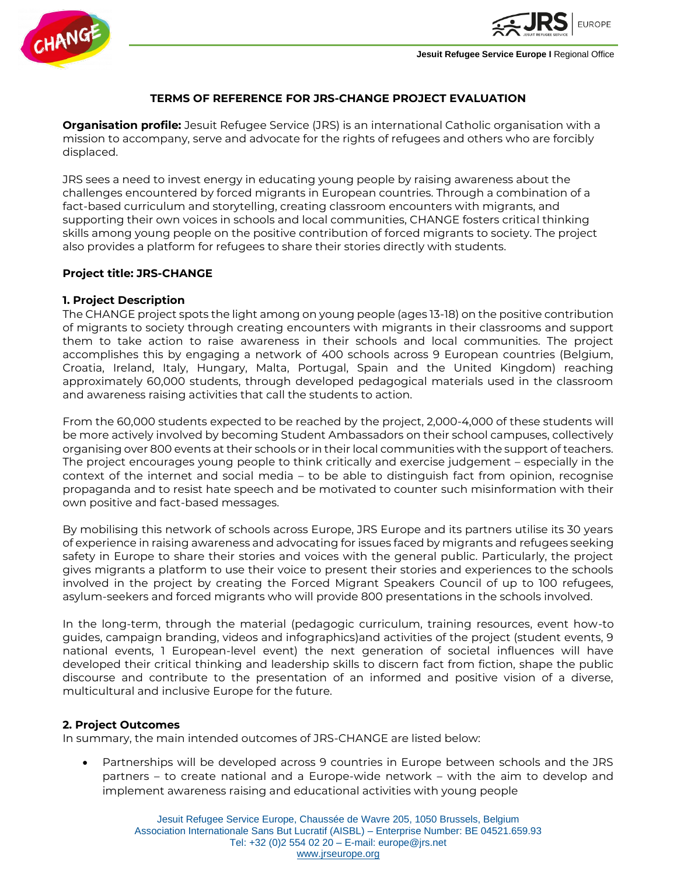



**Jesuit Refugee Service Europe I Regional Office** 

### **TERMS OF REFERENCE FOR JRS-CHANGE PROJECT EVALUATION**

**Organisation profile:** Jesuit Refugee Service (JRS) is an international Catholic organisation with a mission to accompany, serve and advocate for the rights of refugees and others who are forcibly displaced.

JRS sees a need to invest energy in educating young people by raising awareness about the challenges encountered by forced migrants in European countries. Through a combination of a fact-based curriculum and storytelling, creating classroom encounters with migrants, and supporting their own voices in schools and local communities, CHANGE fosters critical thinking skills among young people on the positive contribution of forced migrants to society. The project also provides a platform for refugees to share their stories directly with students.

#### **Project title: JRS-CHANGE**

### **1. Project Description**

The CHANGE project spots the light among on young people (ages 13-18) on the positive contribution of migrants to society through creating encounters with migrants in their classrooms and support them to take action to raise awareness in their schools and local communities. The project accomplishes this by engaging a network of 400 schools across 9 European countries (Belgium, Croatia, Ireland, Italy, Hungary, Malta, Portugal, Spain and the United Kingdom) reaching approximately 60,000 students, through developed pedagogical materials used in the classroom and awareness raising activities that call the students to action.

From the 60,000 students expected to be reached by the project, 2,000-4,000 of these students will be more actively involved by becoming Student Ambassadors on their school campuses, collectively organising over 800 events at their schools or in their local communities with the support of teachers. The project encourages young people to think critically and exercise judgement – especially in the context of the internet and social media – to be able to distinguish fact from opinion, recognise propaganda and to resist hate speech and be motivated to counter such misinformation with their own positive and fact-based messages.

By mobilising this network of schools across Europe, JRS Europe and its partners utilise its 30 years of experience in raising awareness and advocating for issues faced by migrants and refugees seeking safety in Europe to share their stories and voices with the general public. Particularly, the project gives migrants a platform to use their voice to present their stories and experiences to the schools involved in the project by creating the Forced Migrant Speakers Council of up to 100 refugees, asylum-seekers and forced migrants who will provide 800 presentations in the schools involved.

In the long-term, through the material (pedagogic curriculum, training resources, event how-to guides, campaign branding, videos and infographics)and activities of the project (student events, 9 national events, 1 European-level event) the next generation of societal influences will have developed their critical thinking and leadership skills to discern fact from fiction, shape the public discourse and contribute to the presentation of an informed and positive vision of a diverse, multicultural and inclusive Europe for the future.

#### **2. Project Outcomes**

In summary, the main intended outcomes of JRS-CHANGE are listed below:

• Partnerships will be developed across 9 countries in Europe between schools and the JRS partners – to create national and a Europe-wide network – with the aim to develop and implement awareness raising and educational activities with young people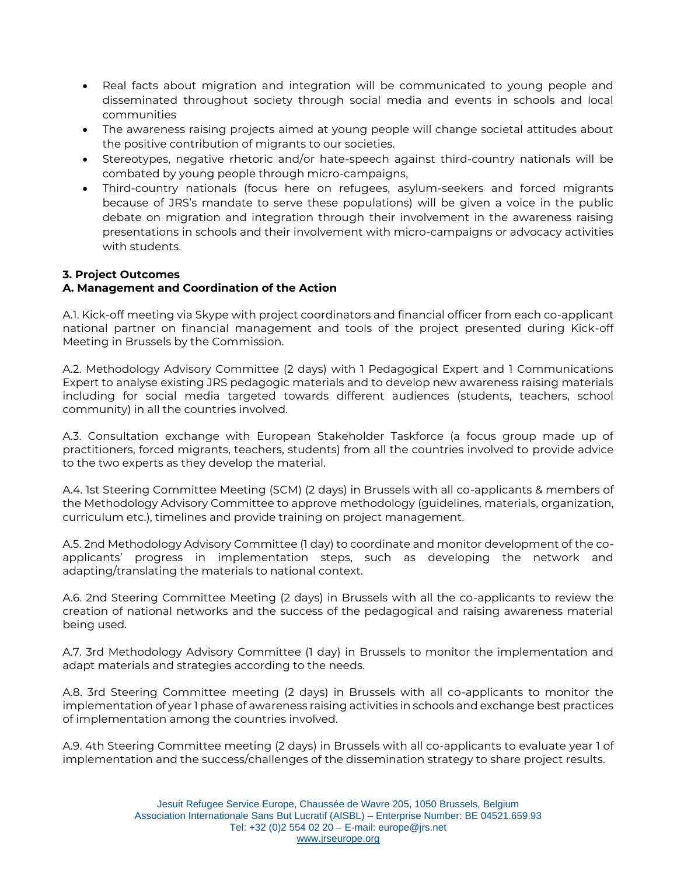- Real facts about migration and integration will be communicated to young people and disseminated throughout society through social media and events in schools and local communities
- The awareness raising projects aimed at young people will change societal attitudes about the positive contribution of migrants to our societies.
- Stereotypes, negative rhetoric and/or hate-speech against third-country nationals will be combated by young people through micro-campaigns,
- Third-country nationals (focus here on refugees, asylum-seekers and forced migrants because of JRS's mandate to serve these populations) will be given a voice in the public debate on migration and integration through their involvement in the awareness raising presentations in schools and their involvement with micro-campaigns or advocacy activities with students.

# **3. Project Outcomes**

# **A. Management and Coordination of the Action**

A.1. Kick-off meeting via Skype with project coordinators and financial officer from each co-applicant national partner on financial management and tools of the project presented during Kick-off Meeting in Brussels by the Commission.

A.2. Methodology Advisory Committee (2 days) with 1 Pedagogical Expert and 1 Communications Expert to analyse existing JRS pedagogic materials and to develop new awareness raising materials including for social media targeted towards different audiences (students, teachers, school community) in all the countries involved.

A.3. Consultation exchange with European Stakeholder Taskforce (a focus group made up of practitioners, forced migrants, teachers, students) from all the countries involved to provide advice to the two experts as they develop the material.

A.4. 1st Steering Committee Meeting (SCM) (2 days) in Brussels with all co-applicants & members of the Methodology Advisory Committee to approve methodology (guidelines, materials, organization, curriculum etc.), timelines and provide training on project management.

A.5. 2nd Methodology Advisory Committee (1 day) to coordinate and monitor development of the coapplicants' progress in implementation steps, such as developing the network and adapting/translating the materials to national context.

A.6. 2nd Steering Committee Meeting (2 days) in Brussels with all the co-applicants to review the creation of national networks and the success of the pedagogical and raising awareness material being used.

A.7. 3rd Methodology Advisory Committee (1 day) in Brussels to monitor the implementation and adapt materials and strategies according to the needs.

A.8. 3rd Steering Committee meeting (2 days) in Brussels with all co-applicants to monitor the implementation of year 1 phase of awareness raising activities in schools and exchange best practices of implementation among the countries involved.

A.9. 4th Steering Committee meeting (2 days) in Brussels with all co-applicants to evaluate year 1 of implementation and the success/challenges of the dissemination strategy to share project results.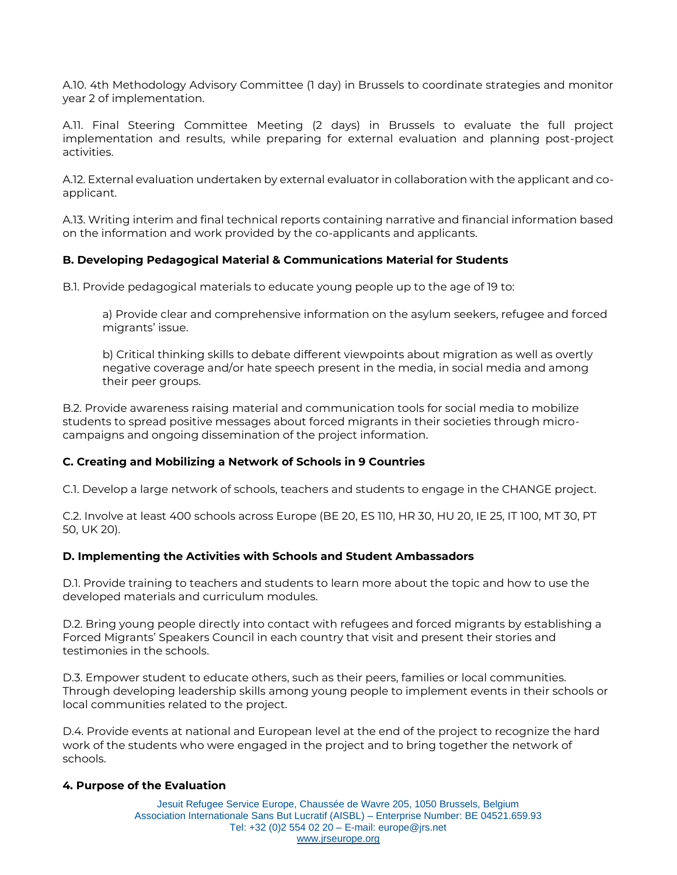A.10. 4th Methodology Advisory Committee (1 day) in Brussels to coordinate strategies and monitor year 2 of implementation.

A.11. Final Steering Committee Meeting (2 days) in Brussels to evaluate the full project implementation and results, while preparing for external evaluation and planning post-project activities.

A.12. External evaluation undertaken by external evaluator in collaboration with the applicant and coapplicant.

A.13. Writing interim and final technical reports containing narrative and financial information based on the information and work provided by the co-applicants and applicants.

#### **B. Developing Pedagogical Material & Communications Material for Students**

B.1. Provide pedagogical materials to educate young people up to the age of 19 to:

a) Provide clear and comprehensive information on the asylum seekers, refugee and forced migrants' issue.

b) Critical thinking skills to debate different viewpoints about migration as well as overtly negative coverage and/or hate speech present in the media, in social media and among their peer groups.

B.2. Provide awareness raising material and communication tools for social media to mobilize students to spread positive messages about forced migrants in their societies through microcampaigns and ongoing dissemination of the project information.

#### **C. Creating and Mobilizing a Network of Schools in 9 Countries**

C.1. Develop a large network of schools, teachers and students to engage in the CHANGE project.

C.2. Involve at least 400 schools across Europe (BE 20, ES 110, HR 30, HU 20, IE 25, IT 100, MT 30, PT 50, UK 20).

#### **D. Implementing the Activities with Schools and Student Ambassadors**

D.1. Provide training to teachers and students to learn more about the topic and how to use the developed materials and curriculum modules.

D.2. Bring young people directly into contact with refugees and forced migrants by establishing a Forced Migrants' Speakers Council in each country that visit and present their stories and testimonies in the schools.

D.3. Empower student to educate others, such as their peers, families or local communities. Through developing leadership skills among young people to implement events in their schools or local communities related to the project.

D.4. Provide events at national and European level at the end of the project to recognize the hard work of the students who were engaged in the project and to bring together the network of schools.

#### **4. Purpose of the Evaluation**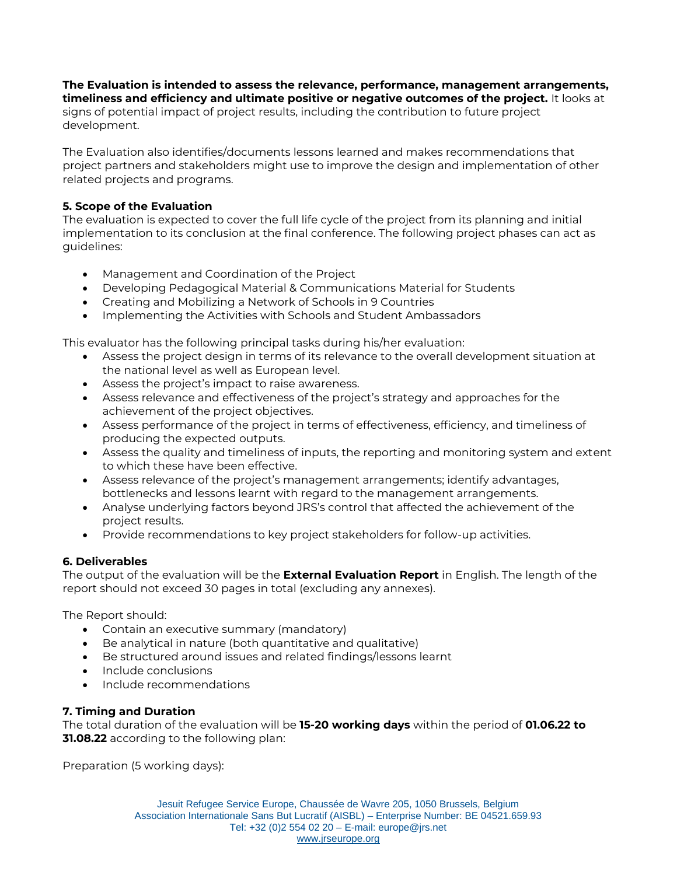**The Evaluation is intended to assess the relevance, performance, management arrangements, timeliness and efficiency and ultimate positive or negative outcomes of the project.** It looks at signs of potential impact of project results, including the contribution to future project development.

The Evaluation also identifies/documents lessons learned and makes recommendations that project partners and stakeholders might use to improve the design and implementation of other related projects and programs.

# **5. Scope of the Evaluation**

The evaluation is expected to cover the full life cycle of the project from its planning and initial implementation to its conclusion at the final conference. The following project phases can act as guidelines:

- Management and Coordination of the Project
- Developing Pedagogical Material & Communications Material for Students
- Creating and Mobilizing a Network of Schools in 9 Countries
- Implementing the Activities with Schools and Student Ambassadors

This evaluator has the following principal tasks during his/her evaluation:

- Assess the project design in terms of its relevance to the overall development situation at the national level as well as European level.
- Assess the project's impact to raise awareness.
- Assess relevance and effectiveness of the project's strategy and approaches for the achievement of the project objectives.
- Assess performance of the project in terms of effectiveness, efficiency, and timeliness of producing the expected outputs.
- Assess the quality and timeliness of inputs, the reporting and monitoring system and extent to which these have been effective.
- Assess relevance of the project's management arrangements; identify advantages, bottlenecks and lessons learnt with regard to the management arrangements.
- Analyse underlying factors beyond JRS's control that affected the achievement of the project results.
- Provide recommendations to key project stakeholders for follow-up activities.

# **6. Deliverables**

The output of the evaluation will be the **External Evaluation Report** in English. The length of the report should not exceed 30 pages in total (excluding any annexes).

The Report should:

- Contain an executive summary (mandatory)
- Be analytical in nature (both quantitative and qualitative)
- Be structured around issues and related findings/lessons learnt
- Include conclusions
- Include recommendations

# **7. Timing and Duration**

The total duration of the evaluation will be **15-20 working days** within the period of **01.06.22 to 31.08.22** according to the following plan:

Preparation (5 working days):